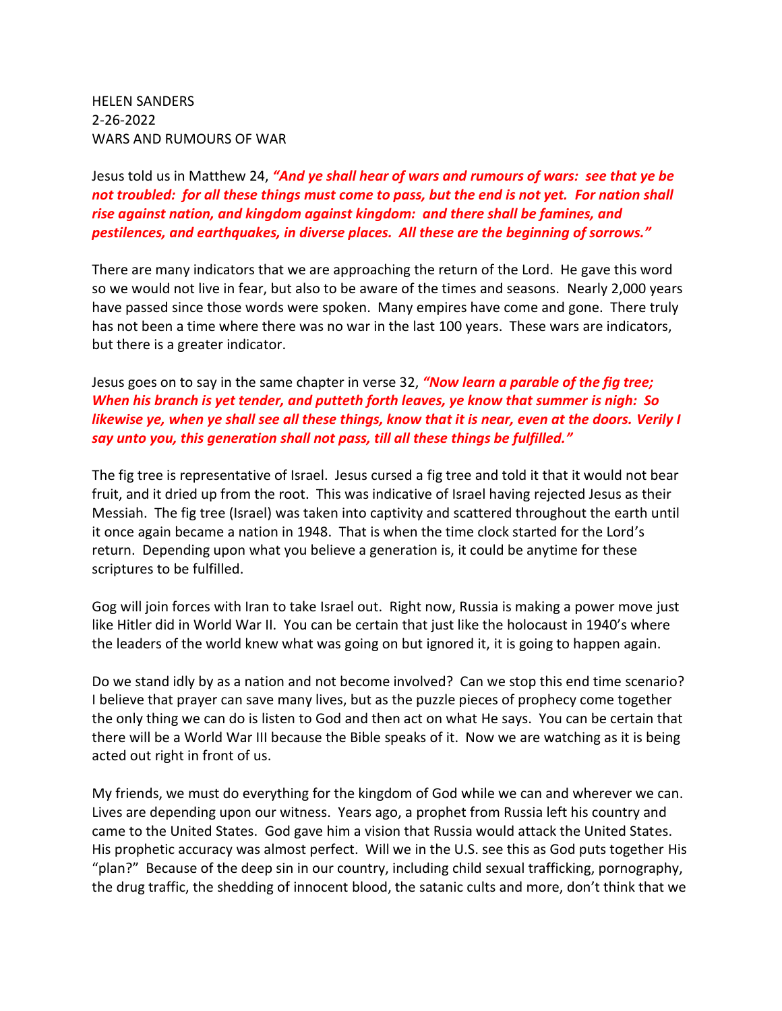HELEN SANDERS 2-26-2022 WARS AND RUMOURS OF WAR

Jesus told us in Matthew 24, *"And ye shall hear of wars and rumours of wars: see that ye be not troubled: for all these things must come to pass, but the end is not yet. For nation shall rise against nation, and kingdom against kingdom: and there shall be famines, and pestilences, and earthquakes, in diverse places. All these are the beginning of sorrows."*

There are many indicators that we are approaching the return of the Lord. He gave this word so we would not live in fear, but also to be aware of the times and seasons. Nearly 2,000 years have passed since those words were spoken. Many empires have come and gone. There truly has not been a time where there was no war in the last 100 years. These wars are indicators, but there is a greater indicator.

Jesus goes on to say in the same chapter in verse 32, *"Now learn a parable of the fig tree; When his branch is yet tender, and putteth forth leaves, ye know that summer is nigh: So likewise ye, when ye shall see all these things, know that it is near, even at the doors. Verily I say unto you, this generation shall not pass, till all these things be fulfilled."*

The fig tree is representative of Israel. Jesus cursed a fig tree and told it that it would not bear fruit, and it dried up from the root. This was indicative of Israel having rejected Jesus as their Messiah. The fig tree (Israel) was taken into captivity and scattered throughout the earth until it once again became a nation in 1948. That is when the time clock started for the Lord's return. Depending upon what you believe a generation is, it could be anytime for these scriptures to be fulfilled.

Gog will join forces with Iran to take Israel out. Right now, Russia is making a power move just like Hitler did in World War II. You can be certain that just like the holocaust in 1940's where the leaders of the world knew what was going on but ignored it, it is going to happen again.

Do we stand idly by as a nation and not become involved? Can we stop this end time scenario? I believe that prayer can save many lives, but as the puzzle pieces of prophecy come together the only thing we can do is listen to God and then act on what He says. You can be certain that there will be a World War III because the Bible speaks of it. Now we are watching as it is being acted out right in front of us.

My friends, we must do everything for the kingdom of God while we can and wherever we can. Lives are depending upon our witness. Years ago, a prophet from Russia left his country and came to the United States. God gave him a vision that Russia would attack the United States. His prophetic accuracy was almost perfect. Will we in the U.S. see this as God puts together His "plan?" Because of the deep sin in our country, including child sexual trafficking, pornography, the drug traffic, the shedding of innocent blood, the satanic cults and more, don't think that we